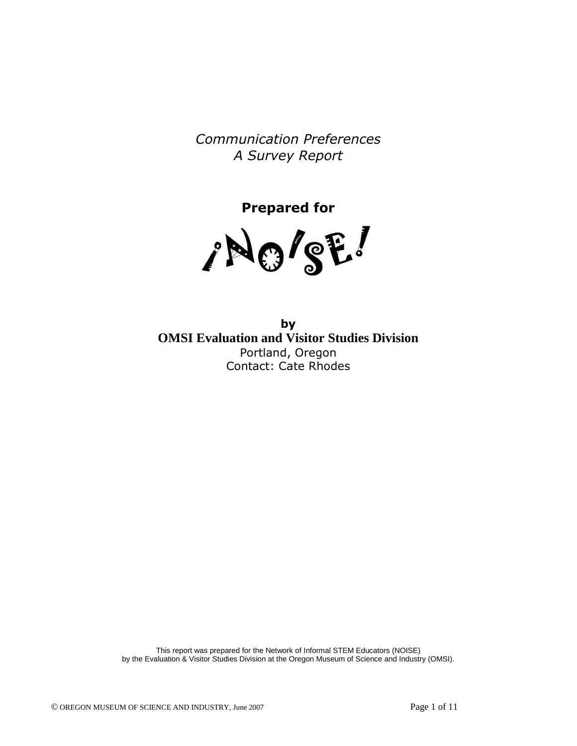Communication Preferences A Survey Report

Prepared for

/NO/SE!

by **OMSI Evaluation and Visitor Studies Division**  Portland, Oregon Contact: Cate Rhodes

This report was prepared for the Network of Informal STEM Educators (NOISE) by the Evaluation & Visitor Studies Division at the Oregon Museum of Science and Industry (OMSI).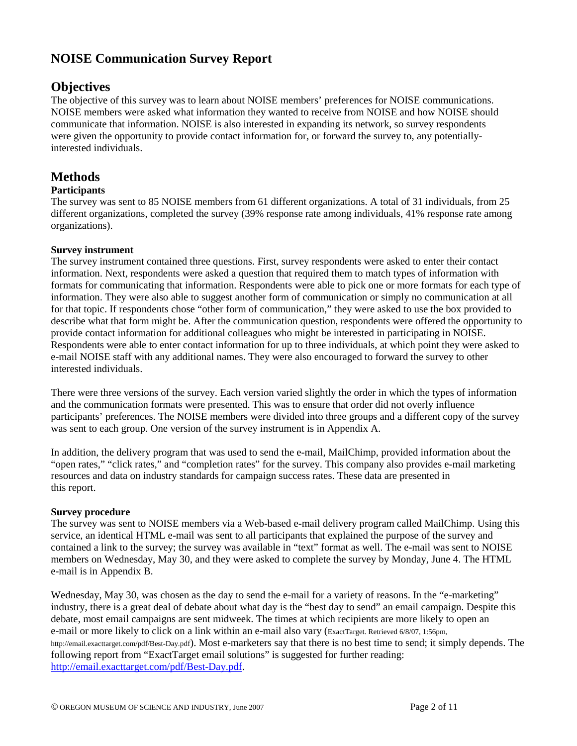# **NOISE Communication Survey Report**

### **Objectives**

The objective of this survey was to learn about NOISE members' preferences for NOISE communications. NOISE members were asked what information they wanted to receive from NOISE and how NOISE should communicate that information. NOISE is also interested in expanding its network, so survey respondents were given the opportunity to provide contact information for, or forward the survey to, any potentiallyinterested individuals.

### **Methods**

#### **Participants**

The survey was sent to 85 NOISE members from 61 different organizations. A total of 31 individuals, from 25 different organizations, completed the survey (39% response rate among individuals, 41% response rate among organizations).

#### **Survey instrument**

The survey instrument contained three questions. First, survey respondents were asked to enter their contact information. Next, respondents were asked a question that required them to match types of information with formats for communicating that information. Respondents were able to pick one or more formats for each type of information. They were also able to suggest another form of communication or simply no communication at all for that topic. If respondents chose "other form of communication," they were asked to use the box provided to describe what that form might be. After the communication question, respondents were offered the opportunity to provide contact information for additional colleagues who might be interested in participating in NOISE. Respondents were able to enter contact information for up to three individuals, at which point they were asked to e-mail NOISE staff with any additional names. They were also encouraged to forward the survey to other interested individuals.

There were three versions of the survey. Each version varied slightly the order in which the types of information and the communication formats were presented. This was to ensure that order did not overly influence participants' preferences. The NOISE members were divided into three groups and a different copy of the survey was sent to each group. One version of the survey instrument is in Appendix A.

In addition, the delivery program that was used to send the e-mail, MailChimp, provided information about the "open rates," "click rates," and "completion rates" for the survey. This company also provides e-mail marketing resources and data on industry standards for campaign success rates. These data are presented in this report.

#### **Survey procedure**

The survey was sent to NOISE members via a Web-based e-mail delivery program called MailChimp. Using this service, an identical HTML e-mail was sent to all participants that explained the purpose of the survey and contained a link to the survey; the survey was available in "text" format as well. The e-mail was sent to NOISE members on Wednesday, May 30, and they were asked to complete the survey by Monday, June 4. The HTML e-mail is in Appendix B.

Wednesday, May 30, was chosen as the day to send the e-mail for a variety of reasons. In the "e-marketing" industry, there is a great deal of debate about what day is the "best day to send" an email campaign. Despite this debate, most email campaigns are sent midweek. The times at which recipients are more likely to open an e-mail or more likely to click on a link within an e-mail also vary (ExactTarget. Retrieved 6/8/07, 1:56pm, http://email.exacttarget.com/pdf/Best-Day.pdf). Most e-marketers say that there is no best time to send; it simply depends. The following report from "ExactTarget email solutions" is suggested for further reading: http://email.exacttarget.com/pdf/Best-Day.pdf.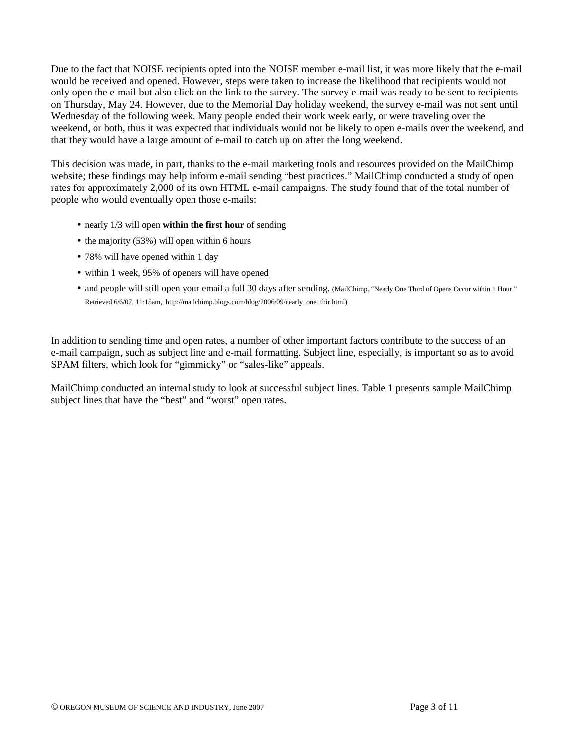Due to the fact that NOISE recipients opted into the NOISE member e-mail list, it was more likely that the e-mail would be received and opened. However, steps were taken to increase the likelihood that recipients would not only open the e-mail but also click on the link to the survey. The survey e-mail was ready to be sent to recipients on Thursday, May 24. However, due to the Memorial Day holiday weekend, the survey e-mail was not sent until Wednesday of the following week. Many people ended their work week early, or were traveling over the weekend, or both, thus it was expected that individuals would not be likely to open e-mails over the weekend, and that they would have a large amount of e-mail to catch up on after the long weekend.

This decision was made, in part, thanks to the e-mail marketing tools and resources provided on the MailChimp website; these findings may help inform e-mail sending "best practices." MailChimp conducted a study of open rates for approximately 2,000 of its own HTML e-mail campaigns. The study found that of the total number of people who would eventually open those e-mails:

- nearly 1/3 will open **within the first hour** of sending
- the majority  $(53%)$  will open within 6 hours
- 78% will have opened within 1 day
- within 1 week, 95% of openers will have opened
- and people will still open your email a full 30 days after sending. (MailChimp. "Nearly One Third of Opens Occur within 1 Hour." Retrieved 6/6/07, 11:15am, http://mailchimp.blogs.com/blog/2006/09/nearly\_one\_thir.html)

In addition to sending time and open rates, a number of other important factors contribute to the success of an e-mail campaign, such as subject line and e-mail formatting. Subject line, especially, is important so as to avoid SPAM filters, which look for "gimmicky" or "sales-like" appeals.

MailChimp conducted an internal study to look at successful subject lines. Table 1 presents sample MailChimp subject lines that have the "best" and "worst" open rates.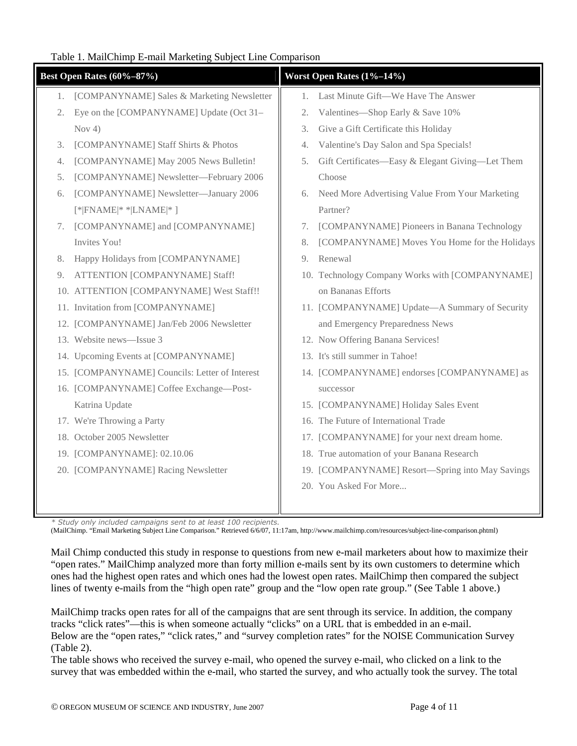### Table 1. MailChimp E-mail Marketing Subject Line Comparison

|    | <b>Best Open Rates (60%-87%)</b>               |    | Worst Open Rates (1%-14%)                        |
|----|------------------------------------------------|----|--------------------------------------------------|
| 1. | [COMPANYNAME] Sales & Marketing Newsletter     | 1. | Last Minute Gift-We Have The Answer              |
| 2. | Eye on the [COMPANYNAME] Update (Oct 31-       | 2. | Valentines-Shop Early & Save 10%                 |
|    | Nov $4)$                                       | 3. | Give a Gift Certificate this Holiday             |
| 3. | [COMPANYNAME] Staff Shirts & Photos            | 4. | Valentine's Day Salon and Spa Specials!          |
| 4. | [COMPANYNAME] May 2005 News Bulletin!          | 5. | Gift Certificates-Easy & Elegant Giving-Let Them |
| 5. | [COMPANYNAME] Newsletter-February 2006         |    | Choose                                           |
| 6. | [COMPANYNAME] Newsletter-January 2006          | 6. | Need More Advertising Value From Your Marketing  |
|    | $[*$ FNAME $*$ * LNAME $*$ ]                   |    | Partner?                                         |
| 7. | [COMPANYNAME] and [COMPANYNAME]                | 7. | [COMPANYNAME] Pioneers in Banana Technology      |
|    | Invites You!                                   | 8. | [COMPANYNAME] Moves You Home for the Holidays    |
| 8. | Happy Holidays from [COMPANYNAME]              | 9. | Renewal                                          |
| 9. | ATTENTION [COMPANYNAME] Staff!                 |    | 10. Technology Company Works with [COMPANYNAME]  |
|    | 10. ATTENTION [COMPANYNAME] West Staff!!       |    | on Bananas Efforts                               |
|    | 11. Invitation from [COMPANYNAME]              |    | 11. [COMPANYNAME] Update-A Summary of Security   |
|    | 12. [COMPANYNAME] Jan/Feb 2006 Newsletter      |    | and Emergency Preparedness News                  |
|    | 13. Website news-Issue 3                       |    | 12. Now Offering Banana Services!                |
|    | 14. Upcoming Events at [COMPANYNAME]           |    | 13. It's still summer in Tahoe!                  |
|    | 15. [COMPANYNAME] Councils: Letter of Interest |    | 14. [COMPANYNAME] endorses [COMPANYNAME] as      |
|    | 16. [COMPANYNAME] Coffee Exchange-Post-        |    | successor                                        |
|    | Katrina Update                                 |    | 15. [COMPANYNAME] Holiday Sales Event            |
|    | 17. We're Throwing a Party                     |    | 16. The Future of International Trade            |
|    | 18. October 2005 Newsletter                    |    | 17. [COMPANYNAME] for your next dream home.      |
|    | 19. [COMPANYNAME]: 02.10.06                    |    | 18. True automation of your Banana Research      |
|    | 20. [COMPANYNAME] Racing Newsletter            |    | 19. [COMPANYNAME] Resort—Spring into May Savings |
|    |                                                |    | 20. You Asked For More                           |
|    |                                                |    |                                                  |

\* Study only included campaigns sent to at least 100 recipients.

(MailChimp. "Email Marketing Subject Line Comparison." Retrieved 6/6/07, 11:17am, http://www.mailchimp.com/resources/subject-line-comparison.phtml)

Mail Chimp conducted this study in response to questions from new e-mail marketers about how to maximize their "open rates." MailChimp analyzed more than forty million e-mails sent by its own customers to determine which ones had the highest open rates and which ones had the lowest open rates. MailChimp then compared the subject lines of twenty e-mails from the "high open rate" group and the "low open rate group." (See Table 1 above.)

MailChimp tracks open rates for all of the campaigns that are sent through its service. In addition, the company tracks "click rates"—this is when someone actually "clicks" on a URL that is embedded in an e-mail. Below are the "open rates," "click rates," and "survey completion rates" for the NOISE Communication Survey (Table 2).

The table shows who received the survey e-mail, who opened the survey e-mail, who clicked on a link to the survey that was embedded within the e-mail, who started the survey, and who actually took the survey. The total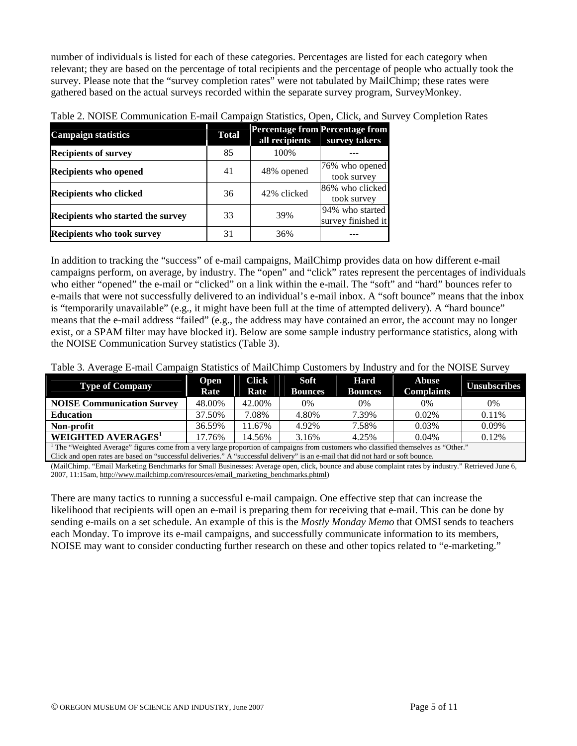number of individuals is listed for each of these categories. Percentages are listed for each category when relevant; they are based on the percentage of total recipients and the percentage of people who actually took the survey. Please note that the "survey completion rates" were not tabulated by MailChimp; these rates were gathered based on the actual surveys recorded within the separate survey program, SurveyMonkey.

| <b>Campaign statistics</b>               | <b>Total</b> | <b>Percentage from Percentage from</b><br>all recipients | survey takers                         |
|------------------------------------------|--------------|----------------------------------------------------------|---------------------------------------|
| <b>Recipients of survey</b>              | 85           | 100\%                                                    |                                       |
| <b>Recipients who opened</b>             | 41           | 48% opened                                               | 76% who opened<br>took survey         |
| <b>Recipients who clicked</b>            | 36           | 42% clicked                                              | 86% who clicked<br>took survey        |
| <b>Recipients who started the survey</b> | 33           | 39%                                                      | 94% who started<br>survey finished it |
| <b>Recipients who took survey</b>        | 31           | 36%                                                      |                                       |

| Table 2. NOISE Communication E-mail Campaign Statistics, Open, Click, and Survey Completion Rates |  |  |
|---------------------------------------------------------------------------------------------------|--|--|
|---------------------------------------------------------------------------------------------------|--|--|

In addition to tracking the "success" of e-mail campaigns, MailChimp provides data on how different e-mail campaigns perform, on average, by industry. The "open" and "click" rates represent the percentages of individuals who either "opened" the e-mail or "clicked" on a link within the e-mail. The "soft" and "hard" bounces refer to e-mails that were not successfully delivered to an individual's e-mail inbox. A "soft bounce" means that the inbox is "temporarily unavailable" (e.g., it might have been full at the time of attempted delivery). A "hard bounce" means that the e-mail address "failed" (e.g., the address may have contained an error, the account may no longer exist, or a SPAM filter may have blocked it). Below are some sample industry performance statistics, along with the NOISE Communication Survey statistics (Table 3).

Table 3. Average E-mail Campaign Statistics of MailChimp Customers by Industry and for the NOISE Survey

| <b>Type of Company</b>                                                                                                                                                                                                                                                                 | <b>Open</b><br>Rate | <b>Click</b><br>Rate | Soft<br><b>Bounces</b> | Hard<br><b>Bounces</b> | <b>Abuse</b><br><b>Complaints</b> | <b>Unsubscribes</b> |  |  |
|----------------------------------------------------------------------------------------------------------------------------------------------------------------------------------------------------------------------------------------------------------------------------------------|---------------------|----------------------|------------------------|------------------------|-----------------------------------|---------------------|--|--|
| <b>NOISE Communication Survey</b>                                                                                                                                                                                                                                                      | 48.00%              | 42.00%               | 0%                     | $0\%$                  | 0%                                | 0%                  |  |  |
| <b>Education</b>                                                                                                                                                                                                                                                                       | 37.50%              | 7.08%                | 4.80%                  | 7.39%                  | $0.02\%$                          | 0.11%               |  |  |
| Non-profit                                                                                                                                                                                                                                                                             | 36.59%              | 11.67%               | 4.92%                  | 7.58%                  | 0.03%                             | 0.09%               |  |  |
| WEIGHTED AVERAGES'                                                                                                                                                                                                                                                                     | 17.76%              | 14.56%               | 3.16%                  | 4.25%                  | $0.04\%$                          | 0.12%               |  |  |
| <sup>1</sup> The "Weighted Average" figures come from a very large proportion of campaigns from customers who classified themselves as "Other."<br>Clieds and grow rates are heard on "grosseschil delivering". A "grosseschil delivery" is an a mail that did not hard or soft hourse |                     |                      |                        |                        |                                   |                     |  |  |

is an e-mail that did not hard or s

(MailChimp. "Email Marketing Benchmarks for Small Businesses: Average open, click, bounce and abuse complaint rates by industry." Retrieved June 6, 2007, 11:15am, http://www.mailchimp.com/resources/email\_marketing\_benchmarks.phtml)

There are many tactics to running a successful e-mail campaign. One effective step that can increase the likelihood that recipients will open an e-mail is preparing them for receiving that e-mail. This can be done by sending e-mails on a set schedule. An example of this is the *Mostly Monday Memo* that OMSI sends to teachers each Monday. To improve its e-mail campaigns, and successfully communicate information to its members, NOISE may want to consider conducting further research on these and other topics related to "e-marketing."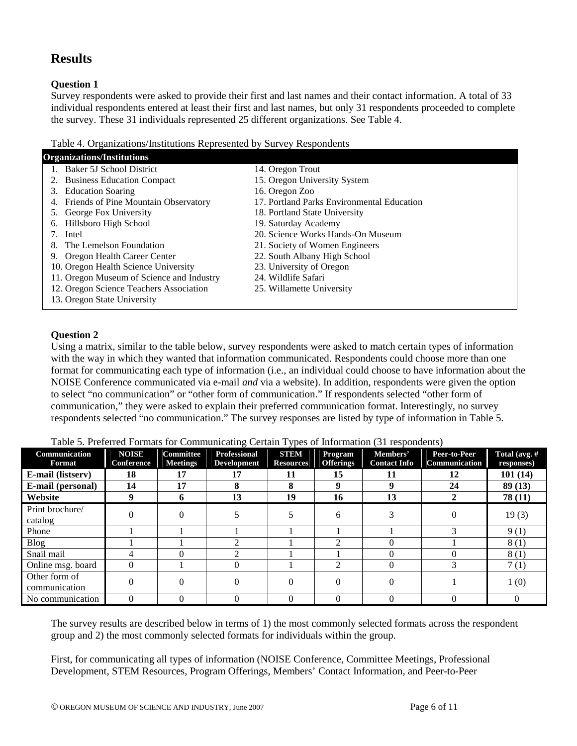# **Results**

#### **Question 1**

Survey respondents were asked to provide their first and last names and their contact information. A total of 33 individual respondents entered at least their first and last names, but only 31 respondents proceeded to complete the survey. These 31 individuals represented 25 different organizations. See Table 4.

Table 4. Organizations/Institutions Represented by Survey Respondents

| <b>Organizations/Institutions</b>         |                                            |  |  |  |  |  |  |  |
|-------------------------------------------|--------------------------------------------|--|--|--|--|--|--|--|
| 1. Baker 5J School District               | 14. Oregon Trout                           |  |  |  |  |  |  |  |
| <b>Business Education Compact</b>         | 15. Oregon University System               |  |  |  |  |  |  |  |
| <b>Education Soaring</b><br>3.            | 16. Oregon Zoo                             |  |  |  |  |  |  |  |
| Friends of Pine Mountain Observatory      | 17. Portland Parks Environmental Education |  |  |  |  |  |  |  |
| George Fox University<br>5.               | 18. Portland State University              |  |  |  |  |  |  |  |
| Hillsboro High School<br>6.               | 19. Saturday Academy                       |  |  |  |  |  |  |  |
| Intel                                     | 20. Science Works Hands-On Museum          |  |  |  |  |  |  |  |
| The Lemelson Foundation<br>8.             | 21. Society of Women Engineers             |  |  |  |  |  |  |  |
| 9. Oregon Health Career Center            | 22. South Albany High School               |  |  |  |  |  |  |  |
| 10. Oregon Health Science University      | 23. University of Oregon                   |  |  |  |  |  |  |  |
| 11. Oregon Museum of Science and Industry | 24. Wildlife Safari                        |  |  |  |  |  |  |  |
| 12. Oregon Science Teachers Association   | 25. Willamette University                  |  |  |  |  |  |  |  |
| 13. Oregon State University               |                                            |  |  |  |  |  |  |  |
|                                           |                                            |  |  |  |  |  |  |  |

### **Question 2**

Using a matrix, similar to the table below, survey respondents were asked to match certain types of information with the way in which they wanted that information communicated. Respondents could choose more than one format for communicating each type of information (i.e., an individual could choose to have information about the NOISE Conference communicated via e-mail *and* via a website). In addition, respondents were given the option to select "no communication" or "other form of communication." If respondents selected "other form of communication," they were asked to explain their preferred communication format. Interestingly, no survey respondents selected "no communication." The survey responses are listed by type of information in Table 5.

|  |  | Table 5. Preferred Formats for Communicating Certain Types of Information (31 respondents) |
|--|--|--------------------------------------------------------------------------------------------|
|  |  |                                                                                            |

| Communication<br>Format        | <b>NOISE</b><br><b>Conference</b> | Committee<br><b>Meetings</b> | <b>Professional</b><br><b>Development</b> | <b>STEM</b><br><b>Resources</b> | <b>Program</b><br><b>Offerings</b> | Members'<br><b>Contact Info</b> | Peer-to-Peer<br>Communication | Total (avg. $#$<br>responses) |
|--------------------------------|-----------------------------------|------------------------------|-------------------------------------------|---------------------------------|------------------------------------|---------------------------------|-------------------------------|-------------------------------|
| <b>E-mail (listserv)</b>       | 18                                | 17                           | 17                                        | 11                              | 15                                 | 11                              | 12                            | 101(14)                       |
| <b>E-mail (personal)</b>       | 14                                | 17                           | 8                                         | 8                               | q                                  | 9                               | 24                            | 89(13)                        |
| Website                        | 9                                 | 6                            | 13                                        | 19                              | 16                                 | 13                              |                               | 78(11)                        |
| Print brochure/<br>catalog     |                                   | $\Omega$                     |                                           |                                 | h                                  |                                 |                               | 19(3)                         |
| Phone                          |                                   |                              |                                           |                                 |                                    |                                 |                               | 9(1)                          |
| <b>Blog</b>                    |                                   |                              | ◠                                         |                                 |                                    | 0                               |                               | 8(1)                          |
| Snail mail                     |                                   |                              | ∍                                         |                                 |                                    |                                 |                               | 8(1)                          |
| Online msg. board              | $\theta$                          |                              | $\Omega$                                  |                                 |                                    | $\Omega$                        |                               | 7(1)                          |
| Other form of<br>communication |                                   |                              | $\Omega$                                  |                                 |                                    |                                 |                               | 1(0)                          |
| No communication               | $\Omega$                          |                              |                                           |                                 |                                    |                                 |                               |                               |

The survey results are described below in terms of 1) the most commonly selected formats across the respondent group and 2) the most commonly selected formats for individuals within the group.

First, for communicating all types of information (NOISE Conference, Committee Meetings, Professional Development, STEM Resources, Program Offerings, Members' Contact Information, and Peer-to-Peer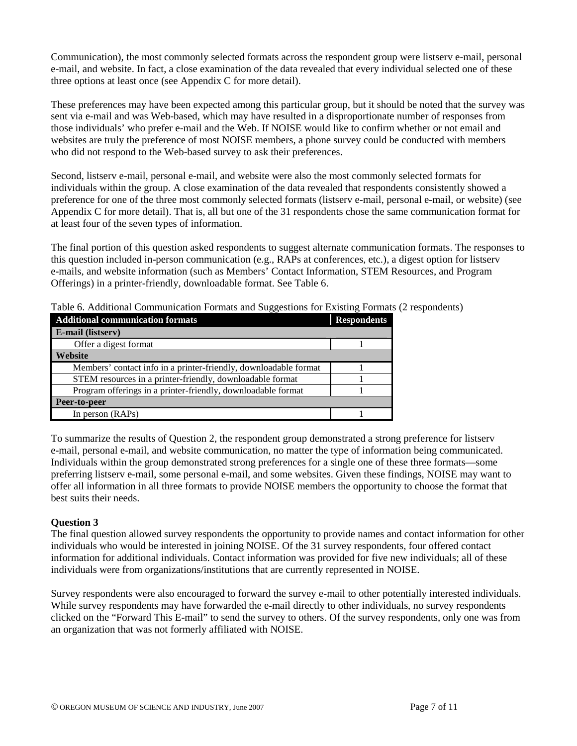Communication), the most commonly selected formats across the respondent group were listserv e-mail, personal e-mail, and website. In fact, a close examination of the data revealed that every individual selected one of these three options at least once (see Appendix C for more detail).

These preferences may have been expected among this particular group, but it should be noted that the survey was sent via e-mail and was Web-based, which may have resulted in a disproportionate number of responses from those individuals' who prefer e-mail and the Web. If NOISE would like to confirm whether or not email and websites are truly the preference of most NOISE members, a phone survey could be conducted with members who did not respond to the Web-based survey to ask their preferences.

Second, listserv e-mail, personal e-mail, and website were also the most commonly selected formats for individuals within the group. A close examination of the data revealed that respondents consistently showed a preference for one of the three most commonly selected formats (listserv e-mail, personal e-mail, or website) (see Appendix C for more detail). That is, all but one of the 31 respondents chose the same communication format for at least four of the seven types of information.

The final portion of this question asked respondents to suggest alternate communication formats. The responses to this question included in-person communication (e.g., RAPs at conferences, etc.), a digest option for listserv e-mails, and website information (such as Members' Contact Information, STEM Resources, and Program Offerings) in a printer-friendly, downloadable format. See Table 6.

| <b>Additional communication formats</b>                          | <b>Respondents</b> |
|------------------------------------------------------------------|--------------------|
| E-mail (listserv)                                                |                    |
| Offer a digest format                                            |                    |
| Website                                                          |                    |
| Members' contact info in a printer-friendly, downloadable format |                    |
| STEM resources in a printer-friendly, downloadable format        |                    |
| Program offerings in a printer-friendly, downloadable format     |                    |
| Peer-to-peer                                                     |                    |
| In person (RAPs)                                                 |                    |

Table 6. Additional Communication Formats and Suggestions for Existing Formats (2 respondents)

To summarize the results of Question 2, the respondent group demonstrated a strong preference for listserv e-mail, personal e-mail, and website communication, no matter the type of information being communicated. Individuals within the group demonstrated strong preferences for a single one of these three formats—some preferring listserv e-mail, some personal e-mail, and some websites. Given these findings, NOISE may want to offer all information in all three formats to provide NOISE members the opportunity to choose the format that best suits their needs.

### **Question 3**

The final question allowed survey respondents the opportunity to provide names and contact information for other individuals who would be interested in joining NOISE. Of the 31 survey respondents, four offered contact information for additional individuals. Contact information was provided for five new individuals; all of these individuals were from organizations/institutions that are currently represented in NOISE.

Survey respondents were also encouraged to forward the survey e-mail to other potentially interested individuals. While survey respondents may have forwarded the e-mail directly to other individuals, no survey respondents clicked on the "Forward This E-mail" to send the survey to others. Of the survey respondents, only one was from an organization that was not formerly affiliated with NOISE.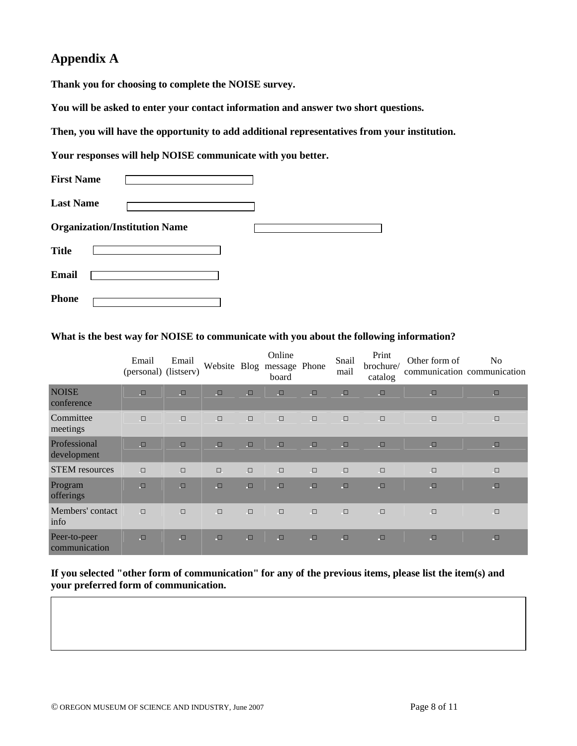## **Appendix A**

**Thank you for choosing to complete the NOISE survey.** 

**You will be asked to enter your contact information and answer two short questions.** 

**Then, you will have the opportunity to add additional representatives from your institution.** 

**Your responses will help NOISE communicate with you better.** 

| <b>First Name</b>                    |  |  |
|--------------------------------------|--|--|
| <b>Last Name</b>                     |  |  |
| <b>Organization/Institution Name</b> |  |  |
| <b>Title</b>                         |  |  |
| <b>Email</b>                         |  |  |
| Phone                                |  |  |

**What is the best way for NOISE to communicate with you about the following information?** 

|                               | Email<br>(personal) (listserv) | Email  | Website Blog |        | Online<br>message Phone<br>board |        | Snail<br>mail | Print<br>brochure/<br>catalog | Other form of | N <sub>0</sub><br>communication communication |
|-------------------------------|--------------------------------|--------|--------------|--------|----------------------------------|--------|---------------|-------------------------------|---------------|-----------------------------------------------|
| <b>NOISE</b><br>conference    | $\Box$                         | $\Box$ | $\Box$       | $\Box$ | $\Box$                           | $\Box$ | $\Box$        | $\Box$                        | $\Box$        | $\Box$                                        |
| Committee<br>meetings         | $\Box$                         | $\Box$ | $\Box$       | $\Box$ | $\Box$                           | $\Box$ | $\Box$        | $\Box$                        | $\Box$        | $\Box$                                        |
| Professional<br>development   | $\Box$                         | $\Box$ | $\Box$       | $\Box$ | $\Box$                           | $\Box$ | $\Box$        | $\Box$                        | $\Box$        | $\Box$                                        |
| <b>STEM</b> resources         | $\Box$                         | $\Box$ | $\Box$       | $\Box$ | $\Box$                           | $\Box$ | $\Box$        | $\Box$                        | $\Box$        | $\Box$                                        |
| Program<br>offerings          | $\Box$                         | $\Box$ | $\Box$       | $\Box$ | $\Box$                           | $\Box$ | $\Box$        | $\Box$                        | $\Box$        | $\Box$                                        |
| Members' contact<br>info      | $\Box$                         | $\Box$ | $\Box$       | $\Box$ | $\Box$                           | $\Box$ | $\Box$        | $\Box$                        | $\Box$        | $\Box$                                        |
| Peer-to-peer<br>communication | $\Box$                         | $\Box$ | $\Box$       | $\Box$ | $\Box$                           | $\Box$ | $\Box$        | $\Box$                        | $\Box$        | $\Box$                                        |

**If you selected "other form of communication" for any of the previous items, please list the item(s) and your preferred form of communication.**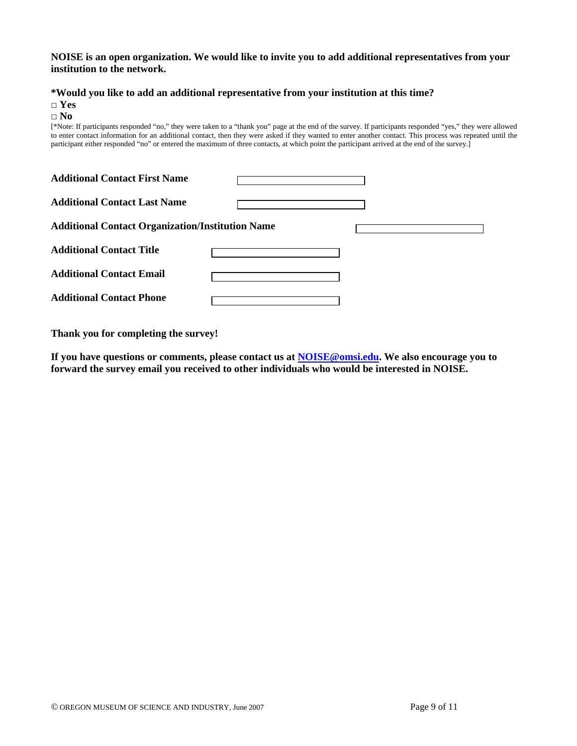#### **NOISE is an open organization. We would like to invite you to add additional representatives from your institution to the network.**

#### **\*Would you like to add an additional representative from your institution at this time?**

□ **Yes** 

#### □ **No**

[\*Note: If participants responded "no," they were taken to a "thank you" page at the end of the survey. If participants responded "yes," they were allowed to enter contact information for an additional contact, then they were asked if they wanted to enter another contact. This process was repeated until the participant either responded "no" or entered the maximum of three contacts, at which point the participant arrived at the end of the survey.]

| <b>Additional Contact First Name</b>                    |  |
|---------------------------------------------------------|--|
| <b>Additional Contact Last Name</b>                     |  |
| <b>Additional Contact Organization/Institution Name</b> |  |
| <b>Additional Contact Title</b>                         |  |
| <b>Additional Contact Email</b>                         |  |
| <b>Additional Contact Phone</b>                         |  |

**Thank you for completing the survey!** 

**If you have questions or comments, please contact us at NOISE@omsi.edu. We also encourage you to forward the survey email you received to other individuals who would be interested in NOISE.**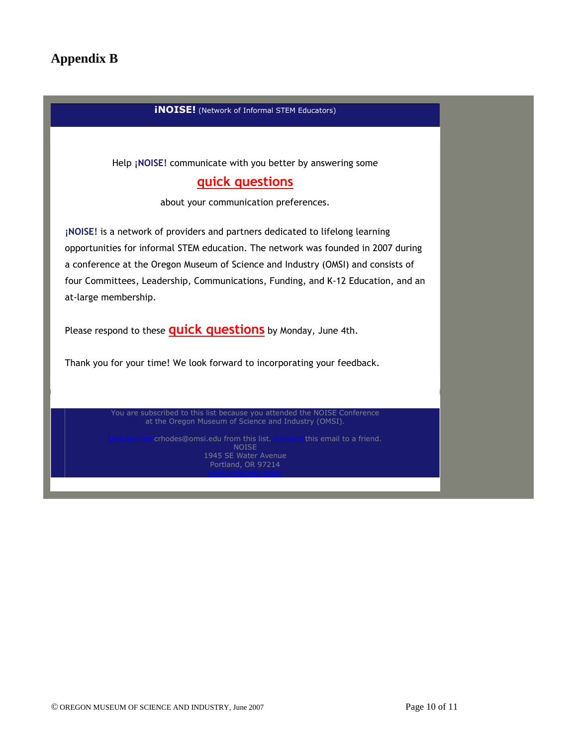# **Appendix B**